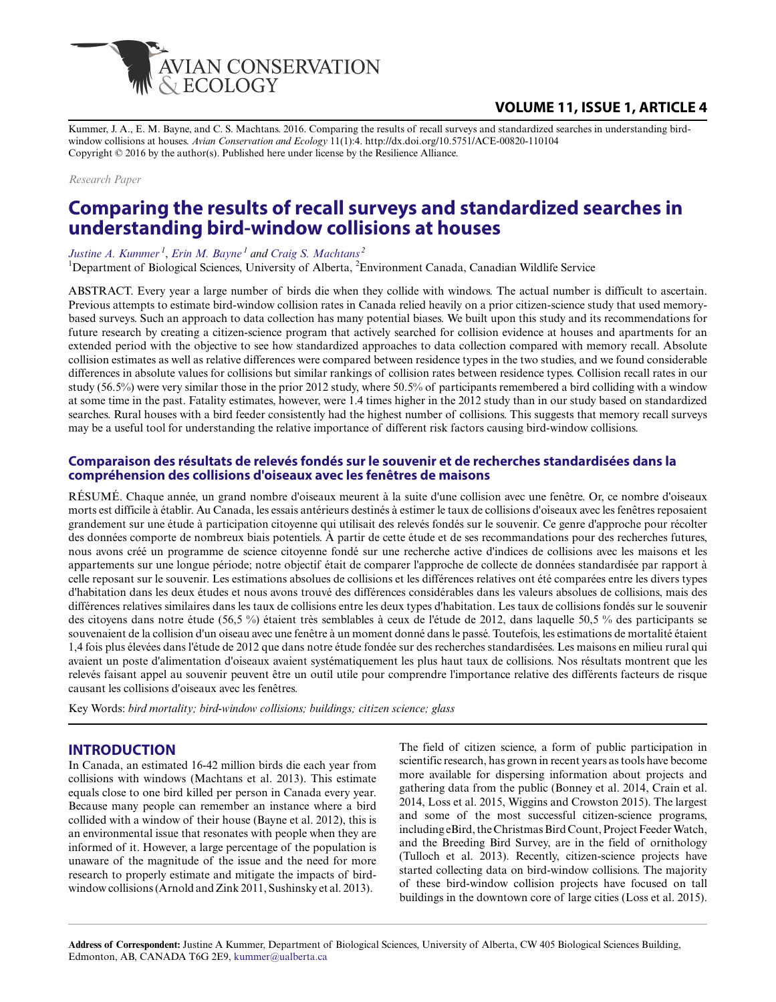

# **VOLUME 11, ISSUE 1, ARTICLE 4**

Kummer, J. A., E. M. Bayne, and C. S. Machtans. 2016. Comparing the results of recall surveys and standardized searches in understanding birdwindow collisions at houses. *Avian Conservation and Ecology* 11(1):4. http://dx.doi.org/10.5751/ACE-00820-110104 Copyright © 2016 by the author(s). Published here under license by the Resilience Alliance.

*Research Paper*

# **Comparing the results of recall surveys and standardized searches in understanding bird-window collisions at houses**

*[Justine A. Kummer](mailto:kummer@ualberta.ca)<sup>1</sup>* , *[Erin M. Bayne](mailto:bayne@ualberta.ca)<sup>1</sup> and [Craig S. Machtans](mailto:craig.machtans@ec.gc.ca)<sup>2</sup>*

<sup>1</sup>Department of Biological Sciences, University of Alberta, <sup>2</sup>Environment Canada, Canadian Wildlife Service

ABSTRACT. Every year a large number of birds die when they collide with windows. The actual number is difficult to ascertain. Previous attempts to estimate bird-window collision rates in Canada relied heavily on a prior citizen-science study that used memorybased surveys. Such an approach to data collection has many potential biases. We built upon this study and its recommendations for future research by creating a citizen-science program that actively searched for collision evidence at houses and apartments for an extended period with the objective to see how standardized approaches to data collection compared with memory recall. Absolute collision estimates as well as relative differences were compared between residence types in the two studies, and we found considerable differences in absolute values for collisions but similar rankings of collision rates between residence types. Collision recall rates in our study (56.5%) were very similar those in the prior 2012 study, where 50.5% of participants remembered a bird colliding with a window at some time in the past. Fatality estimates, however, were 1.4 times higher in the 2012 study than in our study based on standardized searches. Rural houses with a bird feeder consistently had the highest number of collisions. This suggests that memory recall surveys may be a useful tool for understanding the relative importance of different risk factors causing bird-window collisions.

#### **Comparaison des résultats de relevés fondés sur le souvenir et de recherches standardisées dans la compréhension des collisions d'oiseaux avec les fenêtres de maisons**

RÉSUMÉ. Chaque année, un grand nombre d'oiseaux meurent à la suite d'une collision avec une fenêtre. Or, ce nombre d'oiseaux morts est difficile à établir. Au Canada, les essais antérieurs destinés à estimer le taux de collisions d'oiseaux avec les fenêtres reposaient grandement sur une étude à participation citoyenne qui utilisait des relevés fondés sur le souvenir. Ce genre d'approche pour récolter des données comporte de nombreux biais potentiels. À partir de cette étude et de ses recommandations pour des recherches futures, nous avons créé un programme de science citoyenne fondé sur une recherche active d'indices de collisions avec les maisons et les appartements sur une longue période; notre objectif était de comparer l'approche de collecte de données standardisée par rapport à celle reposant sur le souvenir. Les estimations absolues de collisions et les différences relatives ont été comparées entre les divers types d'habitation dans les deux études et nous avons trouvé des différences considérables dans les valeurs absolues de collisions, mais des différences relatives similaires dans les taux de collisions entre les deux types d'habitation. Les taux de collisions fondés sur le souvenir des citoyens dans notre étude (56,5 %) étaient très semblables à ceux de l'étude de 2012, dans laquelle 50,5 % des participants se souvenaient de la collision d'un oiseau avec une fenêtre à un moment donné dans le passé. Toutefois, les estimations de mortalité étaient 1,4 fois plus élevées dans l'étude de 2012 que dans notre étude fondée sur des recherches standardisées. Les maisons en milieu rural qui avaient un poste d'alimentation d'oiseaux avaient systématiquement les plus haut taux de collisions. Nos résultats montrent que les relevés faisant appel au souvenir peuvent être un outil utile pour comprendre l'importance relative des différents facteurs de risque causant les collisions d'oiseaux avec les fenêtres.

Key Words: *bird mortality; bird-window collisions; buildings; citizen science; glass*

#### **INTRODUCTION**

In Canada, an estimated 16-42 million birds die each year from collisions with windows (Machtans et al. 2013). This estimate equals close to one bird killed per person in Canada every year. Because many people can remember an instance where a bird collided with a window of their house (Bayne et al. 2012), this is an environmental issue that resonates with people when they are informed of it. However, a large percentage of the population is unaware of the magnitude of the issue and the need for more research to properly estimate and mitigate the impacts of birdwindow collisions (Arnold and Zink 2011, Sushinsky et al. 2013).

The field of citizen science, a form of public participation in scientific research, has grown in recent years as tools have become more available for dispersing information about projects and gathering data from the public (Bonney et al. 2014, Crain et al. 2014, Loss et al. 2015, Wiggins and Crowston 2015). The largest and some of the most successful citizen-science programs, including eBird, the Christmas Bird Count, Project Feeder Watch, and the Breeding Bird Survey, are in the field of ornithology (Tulloch et al. 2013). Recently, citizen-science projects have started collecting data on bird-window collisions. The majority of these bird-window collision projects have focused on tall buildings in the downtown core of large cities (Loss et al. 2015).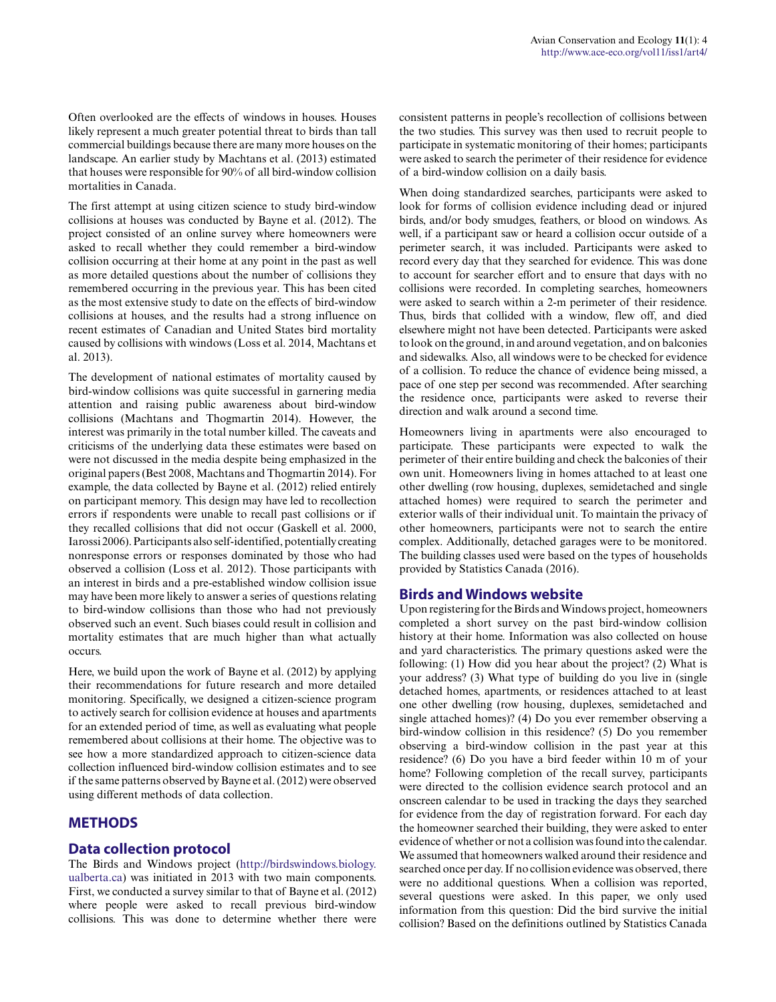Often overlooked are the effects of windows in houses. Houses likely represent a much greater potential threat to birds than tall commercial buildings because there are many more houses on the landscape. An earlier study by Machtans et al. (2013) estimated that houses were responsible for 90% of all bird-window collision mortalities in Canada.

The first attempt at using citizen science to study bird-window collisions at houses was conducted by Bayne et al. (2012). The project consisted of an online survey where homeowners were asked to recall whether they could remember a bird-window collision occurring at their home at any point in the past as well as more detailed questions about the number of collisions they remembered occurring in the previous year. This has been cited as the most extensive study to date on the effects of bird-window collisions at houses, and the results had a strong influence on recent estimates of Canadian and United States bird mortality caused by collisions with windows (Loss et al. 2014, Machtans et al. 2013).

The development of national estimates of mortality caused by bird-window collisions was quite successful in garnering media attention and raising public awareness about bird-window collisions (Machtans and Thogmartin 2014). However, the interest was primarily in the total number killed. The caveats and criticisms of the underlying data these estimates were based on were not discussed in the media despite being emphasized in the original papers (Best 2008, Machtans and Thogmartin 2014). For example, the data collected by Bayne et al. (2012) relied entirely on participant memory. This design may have led to recollection errors if respondents were unable to recall past collisions or if they recalled collisions that did not occur (Gaskell et al. 2000, Iarossi 2006). Participants also self-identified, potentially creating nonresponse errors or responses dominated by those who had observed a collision (Loss et al. 2012). Those participants with an interest in birds and a pre-established window collision issue may have been more likely to answer a series of questions relating to bird-window collisions than those who had not previously observed such an event. Such biases could result in collision and mortality estimates that are much higher than what actually occurs.

Here, we build upon the work of Bayne et al. (2012) by applying their recommendations for future research and more detailed monitoring. Specifically, we designed a citizen-science program to actively search for collision evidence at houses and apartments for an extended period of time, as well as evaluating what people remembered about collisions at their home. The objective was to see how a more standardized approach to citizen-science data collection influenced bird-window collision estimates and to see if the same patterns observed by Bayne et al. (2012) were observed using different methods of data collection.

# **METHODS**

# **Data collection protocol**

The Birds and Windows project [\(http://birdswindows.biology.](http://birdswindows.biology.ualberta.ca) [ualberta.ca\)](http://birdswindows.biology.ualberta.ca) was initiated in 2013 with two main components. First, we conducted a survey similar to that of Bayne et al. (2012) where people were asked to recall previous bird-window collisions. This was done to determine whether there were consistent patterns in people's recollection of collisions between the two studies. This survey was then used to recruit people to participate in systematic monitoring of their homes; participants were asked to search the perimeter of their residence for evidence of a bird-window collision on a daily basis.

When doing standardized searches, participants were asked to look for forms of collision evidence including dead or injured birds, and/or body smudges, feathers, or blood on windows. As well, if a participant saw or heard a collision occur outside of a perimeter search, it was included. Participants were asked to record every day that they searched for evidence. This was done to account for searcher effort and to ensure that days with no collisions were recorded. In completing searches, homeowners were asked to search within a 2-m perimeter of their residence. Thus, birds that collided with a window, flew off, and died elsewhere might not have been detected. Participants were asked to look on the ground, in and around vegetation, and on balconies and sidewalks. Also, all windows were to be checked for evidence of a collision. To reduce the chance of evidence being missed, a pace of one step per second was recommended. After searching the residence once, participants were asked to reverse their direction and walk around a second time.

Homeowners living in apartments were also encouraged to participate. These participants were expected to walk the perimeter of their entire building and check the balconies of their own unit. Homeowners living in homes attached to at least one other dwelling (row housing, duplexes, semidetached and single attached homes) were required to search the perimeter and exterior walls of their individual unit. To maintain the privacy of other homeowners, participants were not to search the entire complex. Additionally, detached garages were to be monitored. The building classes used were based on the types of households provided by Statistics Canada (2016).

# **Birds and Windows website**

Upon registering for the Birds and Windows project, homeowners completed a short survey on the past bird-window collision history at their home. Information was also collected on house and yard characteristics. The primary questions asked were the following: (1) How did you hear about the project? (2) What is your address? (3) What type of building do you live in (single detached homes, apartments, or residences attached to at least one other dwelling (row housing, duplexes, semidetached and single attached homes)? (4) Do you ever remember observing a bird-window collision in this residence? (5) Do you remember observing a bird-window collision in the past year at this residence? (6) Do you have a bird feeder within 10 m of your home? Following completion of the recall survey, participants were directed to the collision evidence search protocol and an onscreen calendar to be used in tracking the days they searched for evidence from the day of registration forward. For each day the homeowner searched their building, they were asked to enter evidence of whether or not a collision was found into the calendar. We assumed that homeowners walked around their residence and searched once per day. If no collision evidence was observed, there were no additional questions. When a collision was reported, several questions were asked. In this paper, we only used information from this question: Did the bird survive the initial collision? Based on the definitions outlined by Statistics Canada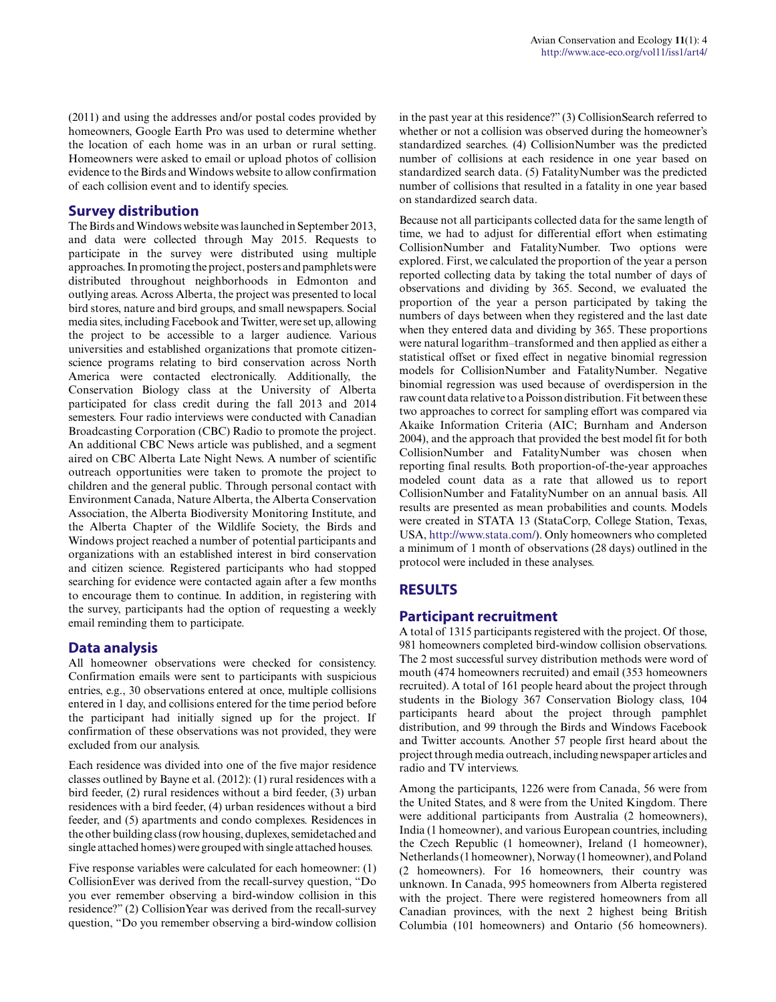(2011) and using the addresses and/or postal codes provided by homeowners, Google Earth Pro was used to determine whether the location of each home was in an urban or rural setting. Homeowners were asked to email or upload photos of collision evidence to the Birds and Windows website to allow confirmation of each collision event and to identify species.

#### **Survey distribution**

The Birds and Windows website was launched in September 2013, and data were collected through May 2015. Requests to participate in the survey were distributed using multiple approaches. In promoting the project, posters and pamphlets were distributed throughout neighborhoods in Edmonton and outlying areas. Across Alberta, the project was presented to local bird stores, nature and bird groups, and small newspapers. Social media sites, including Facebook and Twitter, were set up, allowing the project to be accessible to a larger audience. Various universities and established organizations that promote citizenscience programs relating to bird conservation across North America were contacted electronically. Additionally, the Conservation Biology class at the University of Alberta participated for class credit during the fall 2013 and 2014 semesters. Four radio interviews were conducted with Canadian Broadcasting Corporation (CBC) Radio to promote the project. An additional CBC News article was published, and a segment aired on CBC Alberta Late Night News. A number of scientific outreach opportunities were taken to promote the project to children and the general public. Through personal contact with Environment Canada, Nature Alberta, the Alberta Conservation Association, the Alberta Biodiversity Monitoring Institute, and the Alberta Chapter of the Wildlife Society, the Birds and Windows project reached a number of potential participants and organizations with an established interest in bird conservation and citizen science. Registered participants who had stopped searching for evidence were contacted again after a few months to encourage them to continue. In addition, in registering with the survey, participants had the option of requesting a weekly email reminding them to participate.

#### **Data analysis**

All homeowner observations were checked for consistency. Confirmation emails were sent to participants with suspicious entries, e.g., 30 observations entered at once, multiple collisions entered in 1 day, and collisions entered for the time period before the participant had initially signed up for the project. If confirmation of these observations was not provided, they were excluded from our analysis.

Each residence was divided into one of the five major residence classes outlined by Bayne et al. (2012): (1) rural residences with a bird feeder, (2) rural residences without a bird feeder, (3) urban residences with a bird feeder, (4) urban residences without a bird feeder, and (5) apartments and condo complexes. Residences in the other building class (row housing, duplexes, semidetached and single attached homes) were grouped with single attached houses.

Five response variables were calculated for each homeowner: (1) CollisionEver was derived from the recall-survey question, "Do you ever remember observing a bird-window collision in this residence?" (2) CollisionYear was derived from the recall-survey question, "Do you remember observing a bird-window collision in the past year at this residence?" (3) CollisionSearch referred to whether or not a collision was observed during the homeowner's standardized searches. (4) CollisionNumber was the predicted number of collisions at each residence in one year based on standardized search data. (5) FatalityNumber was the predicted number of collisions that resulted in a fatality in one year based on standardized search data.

Because not all participants collected data for the same length of time, we had to adjust for differential effort when estimating CollisionNumber and FatalityNumber. Two options were explored. First, we calculated the proportion of the year a person reported collecting data by taking the total number of days of observations and dividing by 365. Second, we evaluated the proportion of the year a person participated by taking the numbers of days between when they registered and the last date when they entered data and dividing by 365. These proportions were natural logarithm–transformed and then applied as either a statistical offset or fixed effect in negative binomial regression models for CollisionNumber and FatalityNumber. Negative binomial regression was used because of overdispersion in the raw count data relative to a Poisson distribution. Fit between these two approaches to correct for sampling effort was compared via Akaike Information Criteria (AIC; Burnham and Anderson 2004), and the approach that provided the best model fit for both CollisionNumber and FatalityNumber was chosen when reporting final results. Both proportion-of-the-year approaches modeled count data as a rate that allowed us to report CollisionNumber and FatalityNumber on an annual basis. All results are presented as mean probabilities and counts. Models were created in STATA 13 (StataCorp, College Station, Texas, USA,<http://www.stata.com/>). Only homeowners who completed a minimum of 1 month of observations (28 days) outlined in the protocol were included in these analyses.

# **RESULTS**

#### **Participant recruitment**

A total of 1315 participants registered with the project. Of those, 981 homeowners completed bird-window collision observations. The 2 most successful survey distribution methods were word of mouth (474 homeowners recruited) and email (353 homeowners recruited). A total of 161 people heard about the project through students in the Biology 367 Conservation Biology class, 104 participants heard about the project through pamphlet distribution, and 99 through the Birds and Windows Facebook and Twitter accounts. Another 57 people first heard about the project through media outreach, including newspaper articles and radio and TV interviews.

Among the participants, 1226 were from Canada, 56 were from the United States, and 8 were from the United Kingdom. There were additional participants from Australia (2 homeowners), India (1 homeowner), and various European countries, including the Czech Republic (1 homeowner), Ireland (1 homeowner), Netherlands (1 homeowner), Norway (1 homeowner), and Poland (2 homeowners). For 16 homeowners, their country was unknown. In Canada, 995 homeowners from Alberta registered with the project. There were registered homeowners from all Canadian provinces, with the next 2 highest being British Columbia (101 homeowners) and Ontario (56 homeowners).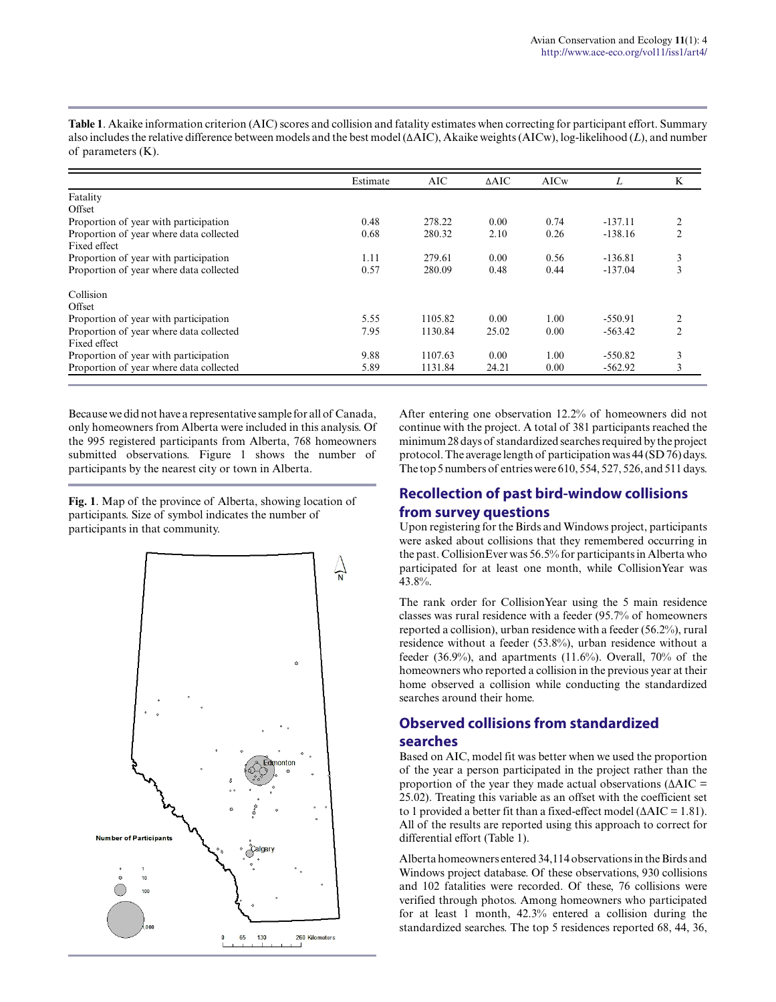Estimate AIC ΔAIC AICw *L* K Fatality **Offset** Proportion of year with participation<br>
Proportion of year where data collected  $\begin{array}{ccccccccc}\n0.68 & 278.22 & 0.00 & 0.74 & -137.11 & 2 \\
0.68 & 280.32 & 2.10 & 0.26 & -138.16 & 2\n\end{array}$ Proportion of year where data collected Fixed effect Proportion of year with participation<br>
Proportion of year where data collected<br>
280.09 0.48 0.44 -137.04 3 Proportion of year where data collected Collision **Offset** Proportion of year with participation<br>
Proportion of year where data collected<br>
2.55 1130.84 25.02 0.00 -563.42 2 Proportion of year where data collected Fixed effect Proportion of year with participation<br>
Proportion of year where data collected<br>  $5.89$  1131.84 24.21 0.00 -562.92 3 Proportion of year where data collected

**Table 1**. Akaike information criterion (AIC) scores and collision and fatality estimates when correcting for participant effort. Summary also includes the relative difference between models and the best model (ΔAIC), Akaike weights (AICw), log-likelihood (*L*), and number of parameters (K).

Because we did not have a representative sample for all of Canada, only homeowners from Alberta were included in this analysis. Of the 995 registered participants from Alberta, 768 homeowners submitted observations. Figure 1 shows the number of participants by the nearest city or town in Alberta.

**Fig. 1**. Map of the province of Alberta, showing location of participants. Size of symbol indicates the number of participants in that community.



After entering one observation 12.2% of homeowners did not continue with the project. A total of 381 participants reached the minimum 28 days of standardized searches required by the project protocol. The average length of participation was 44 (SD 76) days. The top 5 numbers of entries were 610, 554, 527, 526, and 511 days.

# **Recollection of past bird-window collisions**

# **from survey questions**

Upon registering for the Birds and Windows project, participants were asked about collisions that they remembered occurring in the past. CollisionEver was 56.5% for participants in Alberta who participated for at least one month, while CollisionYear was 43.8%.

The rank order for CollisionYear using the 5 main residence classes was rural residence with a feeder (95.7% of homeowners reported a collision), urban residence with a feeder (56.2%), rural residence without a feeder (53.8%), urban residence without a feeder (36.9%), and apartments (11.6%). Overall, 70% of the homeowners who reported a collision in the previous year at their home observed a collision while conducting the standardized searches around their home.

# **Observed collisions from standardized searches**

Based on AIC, model fit was better when we used the proportion of the year a person participated in the project rather than the proportion of the year they made actual observations ( $\triangle AIC =$ 25.02). Treating this variable as an offset with the coefficient set to 1 provided a better fit than a fixed-effect model (∆AIC = 1.81). All of the results are reported using this approach to correct for differential effort (Table 1).

Alberta homeowners entered 34,114 observations in the Birds and Windows project database. Of these observations, 930 collisions and 102 fatalities were recorded. Of these, 76 collisions were verified through photos. Among homeowners who participated for at least 1 month, 42.3% entered a collision during the standardized searches. The top 5 residences reported 68, 44, 36,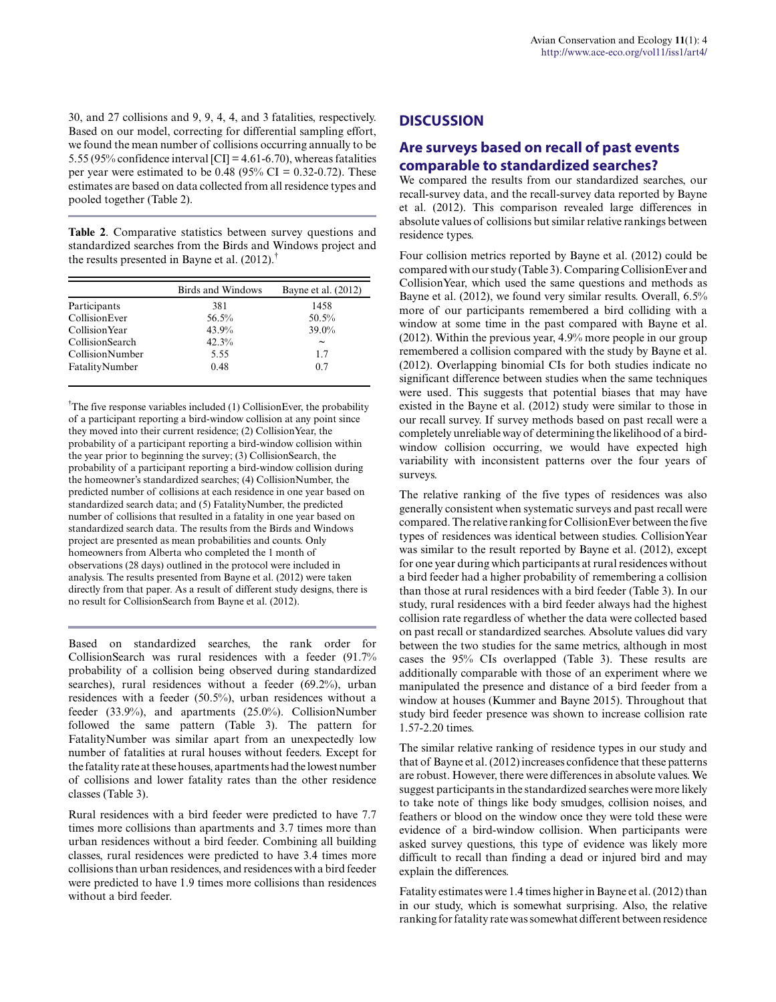30, and 27 collisions and 9, 9, 4, 4, and 3 fatalities, respectively. Based on our model, correcting for differential sampling effort, we found the mean number of collisions occurring annually to be 5.55 (95% confidence interval [CI] = 4.61-6.70), whereas fatalities per year were estimated to be  $0.48$  (95% CI = 0.32-0.72). These estimates are based on data collected from all residence types and pooled together (Table 2).

**Table 2**. Comparative statistics between survey questions and standardized searches from the Birds and Windows project and the results presented in Bayne et al.  $(2012)$ .<sup>†</sup>

|                 | Birds and Windows | Bayne et al. (2012) |  |
|-----------------|-------------------|---------------------|--|
| Participants    | 381               | 1458                |  |
| CollisionEver   | 56.5%             | 50.5%               |  |
| Collision Year  | 43.9%             | 39.0%               |  |
| CollisionSearch | 42.3%             | $\tilde{}$          |  |
| CollisionNumber | 5.55              | 17                  |  |
| FatalityNumber  | 0.48              | 0.7                 |  |

<sup> $\dagger$ </sup>The five response variables included (1) CollisionEver, the probability of a participant reporting a bird-window collision at any point since they moved into their current residence; (2) CollisionYear, the probability of a participant reporting a bird-window collision within the year prior to beginning the survey; (3) CollisionSearch, the probability of a participant reporting a bird-window collision during the homeowner's standardized searches; (4) CollisionNumber, the predicted number of collisions at each residence in one year based on standardized search data; and (5) FatalityNumber, the predicted number of collisions that resulted in a fatality in one year based on standardized search data. The results from the Birds and Windows project are presented as mean probabilities and counts. Only homeowners from Alberta who completed the 1 month of observations (28 days) outlined in the protocol were included in analysis. The results presented from Bayne et al. (2012) were taken directly from that paper. As a result of different study designs, there is no result for CollisionSearch from Bayne et al. (2012).

Based on standardized searches, the rank order for CollisionSearch was rural residences with a feeder (91.7% probability of a collision being observed during standardized searches), rural residences without a feeder (69.2%), urban residences with a feeder (50.5%), urban residences without a feeder (33.9%), and apartments (25.0%). CollisionNumber followed the same pattern (Table 3). The pattern for FatalityNumber was similar apart from an unexpectedly low number of fatalities at rural houses without feeders. Except for the fatality rate at these houses, apartments had the lowest number of collisions and lower fatality rates than the other residence classes (Table 3).

Rural residences with a bird feeder were predicted to have 7.7 times more collisions than apartments and 3.7 times more than urban residences without a bird feeder. Combining all building classes, rural residences were predicted to have 3.4 times more collisions than urban residences, and residences with a bird feeder were predicted to have 1.9 times more collisions than residences without a bird feeder.

# **DISCUSSION**

# **Are surveys based on recall of past events comparable to standardized searches?**

We compared the results from our standardized searches, our recall-survey data, and the recall-survey data reported by Bayne et al. (2012). This comparison revealed large differences in absolute values of collisions but similar relative rankings between residence types.

Four collision metrics reported by Bayne et al. (2012) could be compared with our study (Table 3). Comparing CollisionEver and CollisionYear, which used the same questions and methods as Bayne et al. (2012), we found very similar results. Overall, 6.5% more of our participants remembered a bird colliding with a window at some time in the past compared with Bayne et al. (2012). Within the previous year, 4.9% more people in our group remembered a collision compared with the study by Bayne et al. (2012). Overlapping binomial CIs for both studies indicate no significant difference between studies when the same techniques were used. This suggests that potential biases that may have existed in the Bayne et al. (2012) study were similar to those in our recall survey. If survey methods based on past recall were a completely unreliable way of determining the likelihood of a birdwindow collision occurring, we would have expected high variability with inconsistent patterns over the four years of surveys.

The relative ranking of the five types of residences was also generally consistent when systematic surveys and past recall were compared. The relative ranking for CollisionEver between the five types of residences was identical between studies. CollisionYear was similar to the result reported by Bayne et al. (2012), except for one year during which participants at rural residences without a bird feeder had a higher probability of remembering a collision than those at rural residences with a bird feeder (Table 3). In our study, rural residences with a bird feeder always had the highest collision rate regardless of whether the data were collected based on past recall or standardized searches. Absolute values did vary between the two studies for the same metrics, although in most cases the 95% CIs overlapped (Table 3). These results are additionally comparable with those of an experiment where we manipulated the presence and distance of a bird feeder from a window at houses (Kummer and Bayne 2015). Throughout that study bird feeder presence was shown to increase collision rate 1.57-2.20 times.

The similar relative ranking of residence types in our study and that of Bayne et al. (2012) increases confidence that these patterns are robust. However, there were differences in absolute values. We suggest participants in the standardized searches were more likely to take note of things like body smudges, collision noises, and feathers or blood on the window once they were told these were evidence of a bird-window collision. When participants were asked survey questions, this type of evidence was likely more difficult to recall than finding a dead or injured bird and may explain the differences.

Fatality estimates were 1.4 times higher in Bayne et al. (2012) than in our study, which is somewhat surprising. Also, the relative ranking for fatality rate was somewhat different between residence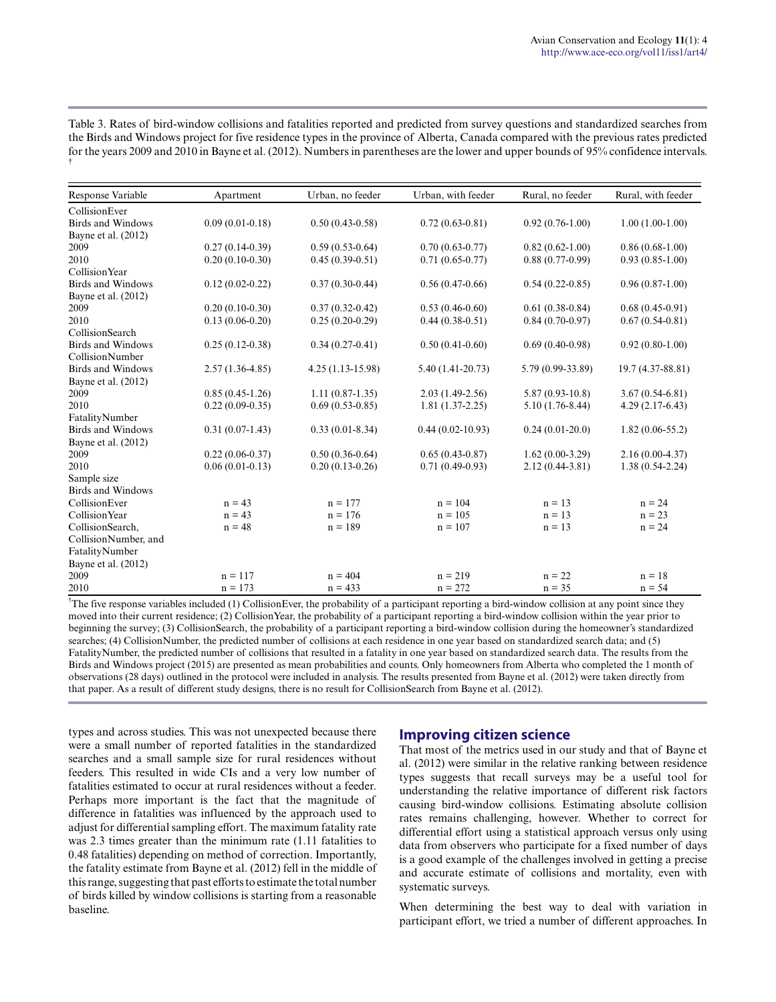Table 3. Rates of bird-window collisions and fatalities reported and predicted from survey questions and standardized searches from the Birds and Windows project for five residence types in the province of Alberta, Canada compared with the previous rates predicted for the years 2009 and 2010 in Bayne et al. (2012). Numbers in parentheses are the lower and upper bounds of 95% confidence intervals. †

| Response Variable        | Apartment           | Urban, no feeder    | Urban, with feeder | Rural, no feeder    | Rural, with feeder  |
|--------------------------|---------------------|---------------------|--------------------|---------------------|---------------------|
| CollisionEver            |                     |                     |                    |                     |                     |
| Birds and Windows        | $0.09(0.01-0.18)$   | $0.50(0.43-0.58)$   | $0.72(0.63-0.81)$  | $0.92(0.76-1.00)$   | $1.00(1.00-1.00)$   |
| Bayne et al. (2012)      |                     |                     |                    |                     |                     |
| 2009                     | $0.27(0.14-0.39)$   | $0.59(0.53-0.64)$   | $0.70(0.63-0.77)$  | $0.82(0.62 - 1.00)$ | $0.86(0.68-1.00)$   |
| 2010                     | $0.20(0.10-0.30)$   | $0.45(0.39-0.51)$   | $0.71(0.65-0.77)$  | $0.88(0.77-0.99)$   | $0.93(0.85-1.00)$   |
| Collision Year           |                     |                     |                    |                     |                     |
| <b>Birds and Windows</b> | $0.12(0.02 - 0.22)$ | $0.37(0.30-0.44)$   | $0.56(0.47-0.66)$  | $0.54(0.22 - 0.85)$ | $0.96(0.87-1.00)$   |
| Bayne et al. (2012)      |                     |                     |                    |                     |                     |
| 2009                     | $0.20(0.10-0.30)$   | $0.37(0.32 - 0.42)$ | $0.53(0.46-0.60)$  | $0.61(0.38-0.84)$   | $0.68(0.45-0.91)$   |
| 2010                     | $0.13(0.06-0.20)$   | $0.25(0.20-0.29)$   | $0.44(0.38-0.51)$  | $0.84(0.70-0.97)$   | $0.67(0.54-0.81)$   |
| CollisionSearch          |                     |                     |                    |                     |                     |
| <b>Birds and Windows</b> | $0.25(0.12-0.38)$   | $0.34(0.27-0.41)$   | $0.50(0.41-0.60)$  | $0.69(0.40-0.98)$   | $0.92(0.80-1.00)$   |
| CollisionNumber          |                     |                     |                    |                     |                     |
| <b>Birds and Windows</b> | $2.57(1.36-4.85)$   | $4.25(1.13-15.98)$  | 5.40 (1.41-20.73)  | 5.79 (0.99-33.89)   | 19.7 (4.37-88.81)   |
| Bayne et al. (2012)      |                     |                     |                    |                     |                     |
| 2009                     | $0.85(0.45-1.26)$   | $1.11(0.87-1.35)$   | $2.03(1.49-2.56)$  | $5.87(0.93-10.8)$   | $3.67(0.54 - 6.81)$ |
| 2010                     | $0.22(0.09-0.35)$   | $0.69(0.53-0.85)$   | $1.81(1.37-2.25)$  | $5.10(1.76-8.44)$   | $4.29(2.17-6.43)$   |
| FatalityNumber           |                     |                     |                    |                     |                     |
| <b>Birds and Windows</b> | $0.31(0.07-1.43)$   | $0.33(0.01 - 8.34)$ | $0.44(0.02-10.93)$ | $0.24(0.01-20.0)$   | $1.82(0.06-55.2)$   |
| Bayne et al. (2012)      |                     |                     |                    |                     |                     |
| 2009                     | $0.22(0.06-0.37)$   | $0.50(0.36-0.64)$   | $0.65(0.43-0.87)$  | $1.62(0.00-3.29)$   | $2.16(0.00-4.37)$   |
| 2010                     | $0.06(0.01-0.13)$   | $0.20(0.13-0.26)$   | $0.71(0.49-0.93)$  | $2.12(0.44 - 3.81)$ | $1.38(0.54-2.24)$   |
| Sample size              |                     |                     |                    |                     |                     |
| <b>Birds and Windows</b> |                     |                     |                    |                     |                     |
| CollisionEver            | $n = 43$            | $n = 177$           | $n = 104$          | $n = 13$            | $n = 24$            |
| Collision Year           | $n = 43$            | $n = 176$           | $n = 105$          | $n = 13$            | $n = 23$            |
| CollisionSearch,         | $n = 48$            | $n = 189$           | $n = 107$          | $n = 13$            | $n = 24$            |
| CollisionNumber, and     |                     |                     |                    |                     |                     |
| FatalityNumber           |                     |                     |                    |                     |                     |
| Bayne et al. (2012)      |                     |                     |                    |                     |                     |
| 2009                     | $n = 117$           | $n = 404$           | $n = 219$          | $n = 22$            | $n = 18$            |
| 2010                     | $n = 173$           | $n = 433$           | $n = 272$          | $n = 35$            | $n = 54$            |

†The five response variables included (1) CollisionEver, the probability of a participant reporting a bird-window collision at any point since they moved into their current residence; (2) CollisionYear, the probability of a participant reporting a bird-window collision within the year prior to beginning the survey; (3) CollisionSearch, the probability of a participant reporting a bird-window collision during the homeowner's standardized searches; (4) CollisionNumber, the predicted number of collisions at each residence in one year based on standardized search data; and (5) FatalityNumber, the predicted number of collisions that resulted in a fatality in one year based on standardized search data. The results from the Birds and Windows project (2015) are presented as mean probabilities and counts. Only homeowners from Alberta who completed the 1 month of observations (28 days) outlined in the protocol were included in analysis. The results presented from Bayne et al. (2012) were taken directly from that paper. As a result of different study designs, there is no result for CollisionSearch from Bayne et al. (2012).

types and across studies. This was not unexpected because there were a small number of reported fatalities in the standardized searches and a small sample size for rural residences without feeders. This resulted in wide CIs and a very low number of fatalities estimated to occur at rural residences without a feeder. Perhaps more important is the fact that the magnitude of difference in fatalities was influenced by the approach used to adjust for differential sampling effort. The maximum fatality rate was 2.3 times greater than the minimum rate (1.11 fatalities to 0.48 fatalities) depending on method of correction. Importantly, the fatality estimate from Bayne et al. (2012) fell in the middle of this range, suggesting that past efforts to estimate the total number of birds killed by window collisions is starting from a reasonable baseline.

#### **Improving citizen science**

That most of the metrics used in our study and that of Bayne et al. (2012) were similar in the relative ranking between residence types suggests that recall surveys may be a useful tool for understanding the relative importance of different risk factors causing bird-window collisions. Estimating absolute collision rates remains challenging, however. Whether to correct for differential effort using a statistical approach versus only using data from observers who participate for a fixed number of days is a good example of the challenges involved in getting a precise and accurate estimate of collisions and mortality, even with systematic surveys.

When determining the best way to deal with variation in participant effort, we tried a number of different approaches. In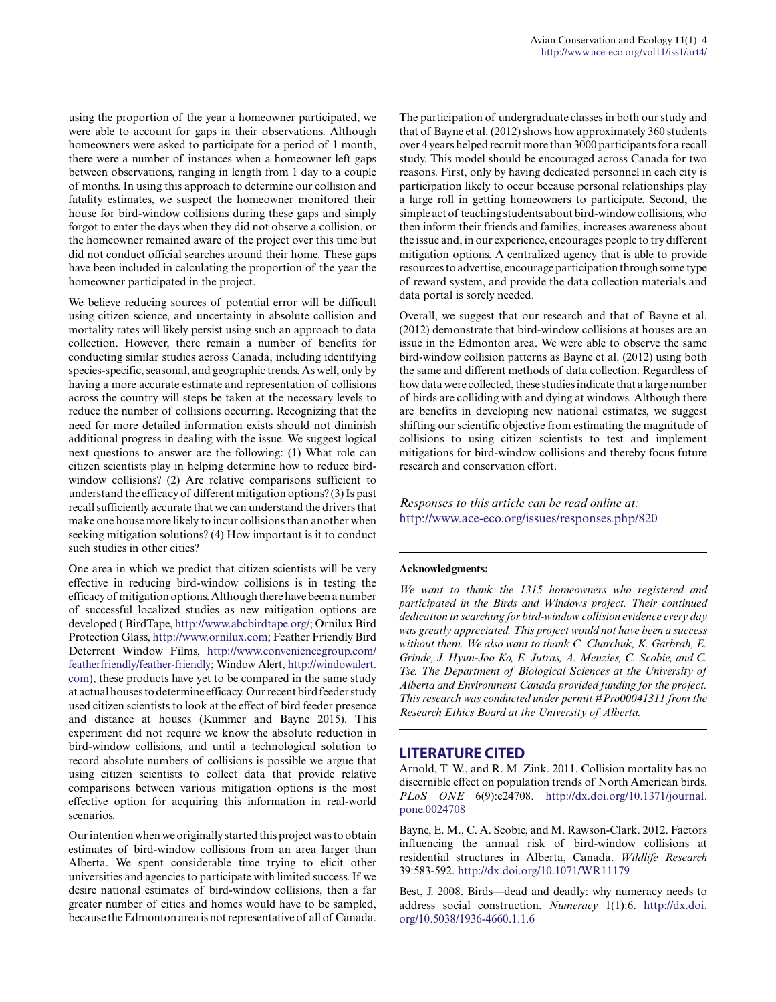using the proportion of the year a homeowner participated, we were able to account for gaps in their observations. Although homeowners were asked to participate for a period of 1 month, there were a number of instances when a homeowner left gaps between observations, ranging in length from 1 day to a couple of months. In using this approach to determine our collision and fatality estimates, we suspect the homeowner monitored their house for bird-window collisions during these gaps and simply forgot to enter the days when they did not observe a collision, or the homeowner remained aware of the project over this time but did not conduct official searches around their home. These gaps have been included in calculating the proportion of the year the homeowner participated in the project.

We believe reducing sources of potential error will be difficult using citizen science, and uncertainty in absolute collision and mortality rates will likely persist using such an approach to data collection. However, there remain a number of benefits for conducting similar studies across Canada, including identifying species-specific, seasonal, and geographic trends. As well, only by having a more accurate estimate and representation of collisions across the country will steps be taken at the necessary levels to reduce the number of collisions occurring. Recognizing that the need for more detailed information exists should not diminish additional progress in dealing with the issue. We suggest logical next questions to answer are the following: (1) What role can citizen scientists play in helping determine how to reduce birdwindow collisions? (2) Are relative comparisons sufficient to understand the efficacy of different mitigation options? (3) Is past recall sufficiently accurate that we can understand the drivers that make one house more likely to incur collisions than another when seeking mitigation solutions? (4) How important is it to conduct such studies in other cities?

One area in which we predict that citizen scientists will be very effective in reducing bird-window collisions is in testing the efficacy of mitigation options. Although there have been a number of successful localized studies as new mitigation options are developed ( BirdTape, [http://www.abcbirdtape.org/;](http://www.abcbirdtape.org/) Ornilux Bird Protection Glass,<http://www.ornilux.com>; Feather Friendly Bird Deterrent Window Films, [http://www.conveniencegroup.com/](http://www.conveniencegroup.com/featherfriendly/feather-friendly) [featherfriendly/feather-friendly](http://www.conveniencegroup.com/featherfriendly/feather-friendly); Window Alert, [http://windowalert.](http://windowalert.com) [com](http://windowalert.com)), these products have yet to be compared in the same study at actual houses to determine efficacy. Our recent bird feeder study used citizen scientists to look at the effect of bird feeder presence and distance at houses (Kummer and Bayne 2015). This experiment did not require we know the absolute reduction in bird-window collisions, and until a technological solution to record absolute numbers of collisions is possible we argue that using citizen scientists to collect data that provide relative comparisons between various mitigation options is the most effective option for acquiring this information in real-world scenarios.

Our intention when we originally started this project was to obtain estimates of bird-window collisions from an area larger than Alberta. We spent considerable time trying to elicit other universities and agencies to participate with limited success. If we desire national estimates of bird-window collisions, then a far greater number of cities and homes would have to be sampled, because the Edmonton area is not representative of all of Canada.

The participation of undergraduate classes in both our study and that of Bayne et al. (2012) shows how approximately 360 students over 4 years helped recruit more than 3000 participants for a recall study. This model should be encouraged across Canada for two reasons. First, only by having dedicated personnel in each city is participation likely to occur because personal relationships play a large roll in getting homeowners to participate. Second, the simple act of teaching students about bird-window collisions, who then inform their friends and families, increases awareness about the issue and, in our experience, encourages people to try different mitigation options. A centralized agency that is able to provide resources to advertise, encourage participation through some type of reward system, and provide the data collection materials and data portal is sorely needed.

Overall, we suggest that our research and that of Bayne et al. (2012) demonstrate that bird-window collisions at houses are an issue in the Edmonton area. We were able to observe the same bird-window collision patterns as Bayne et al. (2012) using both the same and different methods of data collection. Regardless of how data were collected, these studies indicate that a large number of birds are colliding with and dying at windows. Although there are benefits in developing new national estimates, we suggest shifting our scientific objective from estimating the magnitude of collisions to using citizen scientists to test and implement mitigations for bird-window collisions and thereby focus future research and conservation effort.

*Responses to this article can be read online at:* <http://www.ace-eco.org/issues/responses.php/820>

#### **Acknowledgments:**

*We want to thank the 1315 homeowners who registered and participated in the Birds and Windows project. Their continued dedication in searching for bird-window collision evidence every day was greatly appreciated. This project would not have been a success without them. We also want to thank C. Charchuk, K. Garbrah, E. Grinde, J. Hyun-Joo Ko, E. Jutras, A. Menzies, C. Scobie, and C. Tse. The Department of Biological Sciences at the University of Alberta and Environment Canada provided funding for the project. This research was conducted under permit #Pro00041311 from the Research Ethics Board at the University of Alberta.*

#### **LITERATURE CITED**

Arnold, T. W., and R. M. Zink. 2011. Collision mortality has no discernible effect on population trends of North American birds. *PLoS ONE* 6(9):e24708. [http://dx.doi.org/10.1371/journal.](http://dx.doi.org/10.1371%2Fjournal.pone.0024708) [pone.0024708](http://dx.doi.org/10.1371%2Fjournal.pone.0024708)

Bayne, E. M., C. A. Scobie, and M. Rawson-Clark. 2012. Factors influencing the annual risk of bird-window collisions at residential structures in Alberta, Canada. *Wildlife Research* 39:583-592. [http://dx.doi.org/10.1071/WR11179](http://dx.doi.org/10.1071%2FWR11179) 

Best, J. 2008. Birds—dead and deadly: why numeracy needs to address social construction. *Numeracy* 1(1):6. [http://dx.doi.](http://dx.doi.org/10.5038%2F1936-4660.1.1.6) [org/10.5038/1936-4660.1.1.6](http://dx.doi.org/10.5038%2F1936-4660.1.1.6)